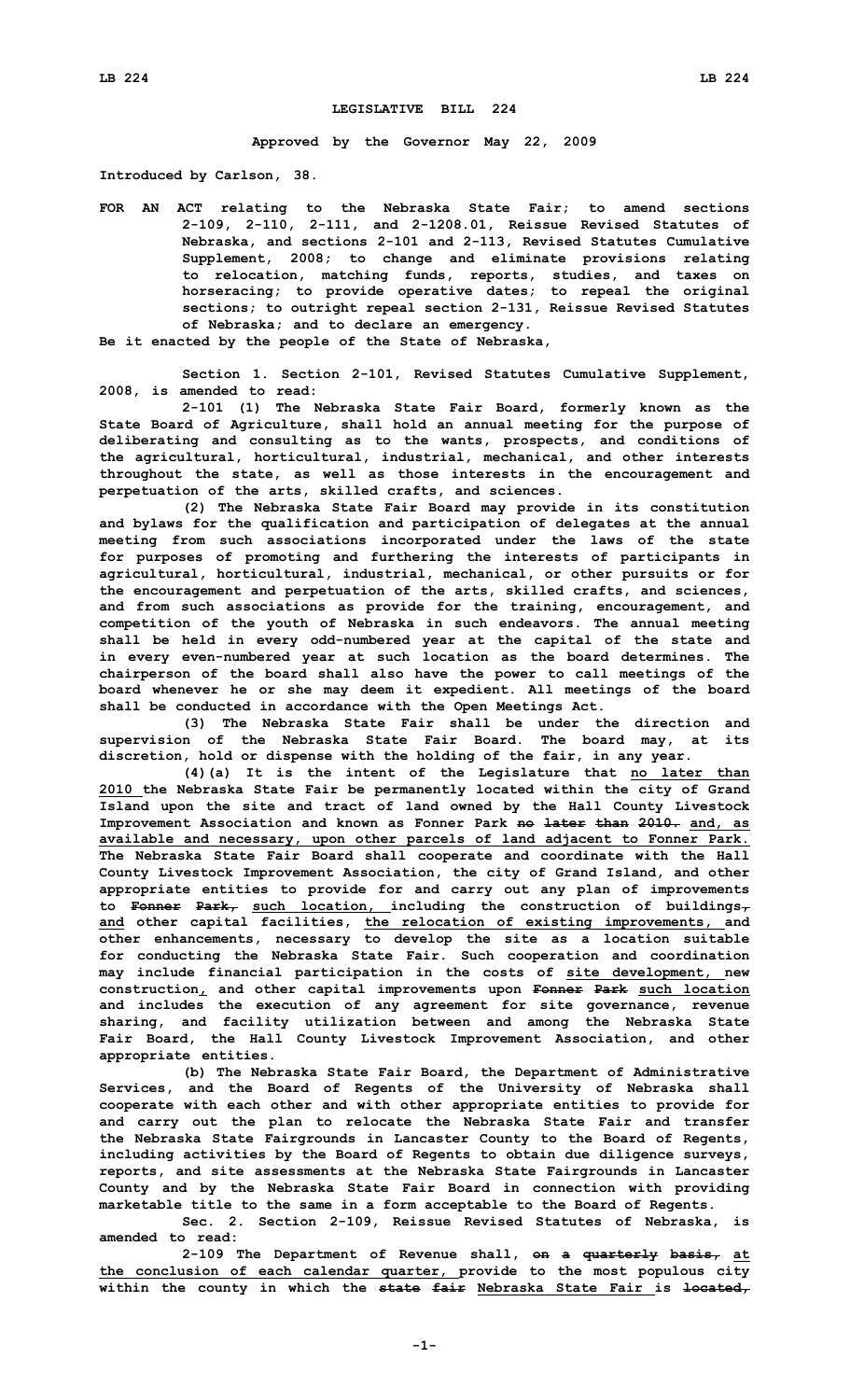## **LEGISLATIVE BILL 224**

**Approved by the Governor May 22, 2009**

**Introduced by Carlson, 38.**

**FOR AN ACT relating to the Nebraska State Fair; to amend sections 2-109, 2-110, 2-111, and 2-1208.01, Reissue Revised Statutes of Nebraska, and sections 2-101 and 2-113, Revised Statutes Cumulative Supplement, 2008; to change and eliminate provisions relating to relocation, matching funds, reports, studies, and taxes on horseracing; to provide operative dates; to repeal the original sections; to outright repeal section 2-131, Reissue Revised Statutes of Nebraska; and to declare an emergency.**

**Be it enacted by the people of the State of Nebraska,**

**Section 1. Section 2-101, Revised Statutes Cumulative Supplement, 2008, is amended to read:**

**2-101 (1) The Nebraska State Fair Board, formerly known as the State Board of Agriculture, shall hold an annual meeting for the purpose of deliberating and consulting as to the wants, prospects, and conditions of the agricultural, horticultural, industrial, mechanical, and other interests throughout the state, as well as those interests in the encouragement and perpetuation of the arts, skilled crafts, and sciences.**

**(2) The Nebraska State Fair Board may provide in its constitution and bylaws for the qualification and participation of delegates at the annual meeting from such associations incorporated under the laws of the state for purposes of promoting and furthering the interests of participants in agricultural, horticultural, industrial, mechanical, or other pursuits or for the encouragement and perpetuation of the arts, skilled crafts, and sciences, and from such associations as provide for the training, encouragement, and competition of the youth of Nebraska in such endeavors. The annual meeting shall be held in every odd-numbered year at the capital of the state and in every even-numbered year at such location as the board determines. The chairperson of the board shall also have the power to call meetings of the board whenever he or she may deem it expedient. All meetings of the board shall be conducted in accordance with the Open Meetings Act.**

**(3) The Nebraska State Fair shall be under the direction and supervision of the Nebraska State Fair Board. The board may, at its discretion, hold or dispense with the holding of the fair, in any year.**

**(4)(a) It is the intent of the Legislature that no later than 2010 the Nebraska State Fair be permanently located within the city of Grand Island upon the site and tract of land owned by the Hall County Livestock Improvement Association and known as Fonner Park no later than 2010. and, as available and necessary, upon other parcels of land adjacent to Fonner Park. The Nebraska State Fair Board shall cooperate and coordinate with the Hall County Livestock Improvement Association, the city of Grand Island, and other appropriate entities to provide for and carry out any plan of improvements to Fonner Park, such location, including the construction of buildings, and other capital facilities, the relocation of existing improvements, and other enhancements, necessary to develop the site as <sup>a</sup> location suitable for conducting the Nebraska State Fair. Such cooperation and coordination may include financial participation in the costs of site development, new construction, and other capital improvements upon Fonner Park such location and includes the execution of any agreement for site governance, revenue sharing, and facility utilization between and among the Nebraska State Fair Board, the Hall County Livestock Improvement Association, and other appropriate entities.**

**(b) The Nebraska State Fair Board, the Department of Administrative Services, and the Board of Regents of the University of Nebraska shall cooperate with each other and with other appropriate entities to provide for and carry out the plan to relocate the Nebraska State Fair and transfer the Nebraska State Fairgrounds in Lancaster County to the Board of Regents, including activities by the Board of Regents to obtain due diligence surveys, reports, and site assessments at the Nebraska State Fairgrounds in Lancaster County and by the Nebraska State Fair Board in connection with providing marketable title to the same in <sup>a</sup> form acceptable to the Board of Regents.**

**Sec. 2. Section 2-109, Reissue Revised Statutes of Nebraska, is amended to read:**

**2-109 The Department of Revenue shall, on <sup>a</sup> quarterly basis, at the conclusion of each calendar quarter, provide to the most populous city within the county in which the state fair Nebraska State Fair is located,**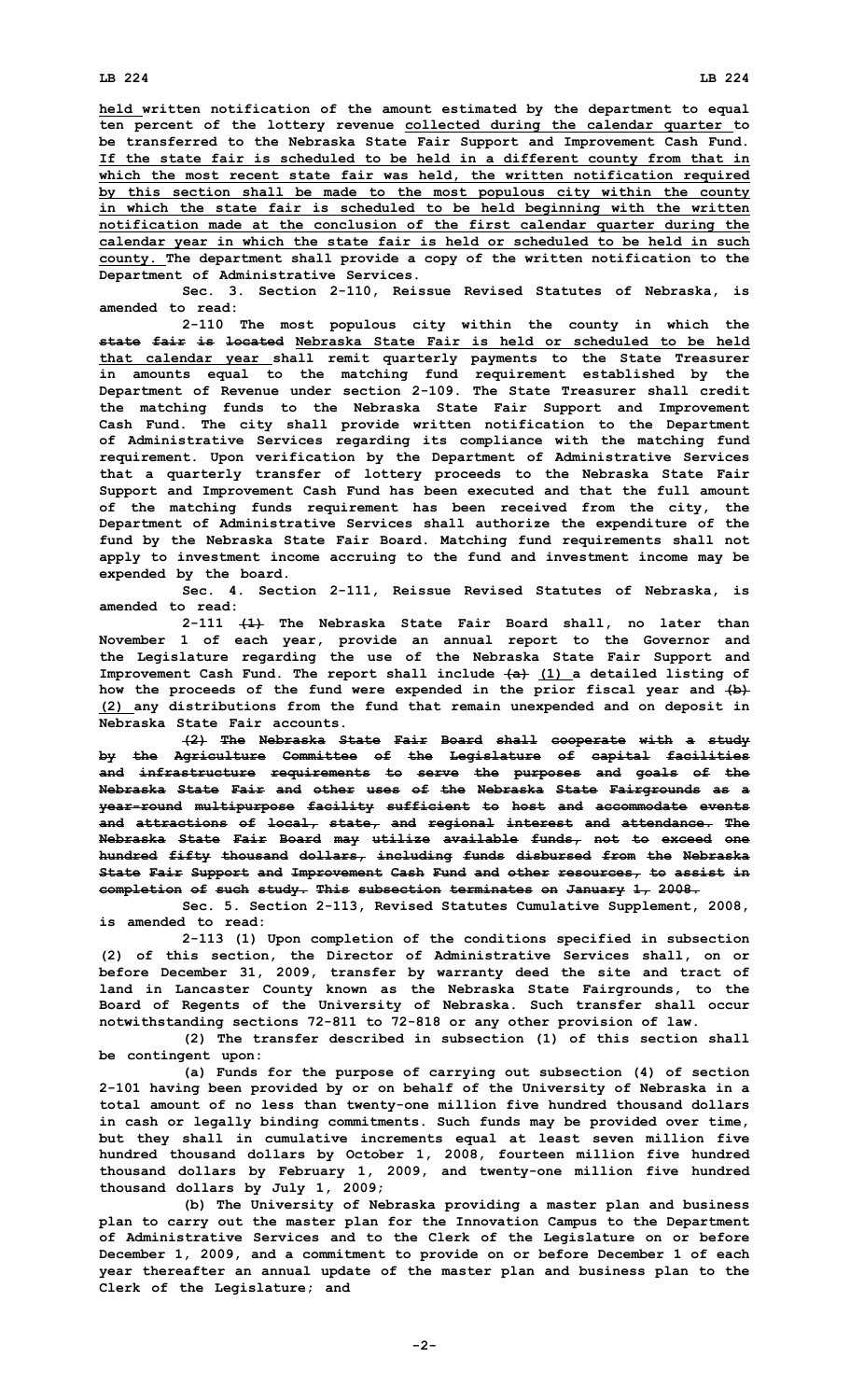## **LB 224 LB 224**

**calendar year in which the state fair is held or scheduled to be held in such county. The department shall provide <sup>a</sup> copy of the written notification to the Department of Administrative Services.**

**Sec. 3. Section 2-110, Reissue Revised Statutes of Nebraska, is amended to read:**

**2-110 The most populous city within the county in which the state fair is located Nebraska State Fair is held or scheduled to be held that calendar year shall remit quarterly payments to the State Treasurer in amounts equal to the matching fund requirement established by the Department of Revenue under section 2-109. The State Treasurer shall credit the matching funds to the Nebraska State Fair Support and Improvement Cash Fund. The city shall provide written notification to the Department of Administrative Services regarding its compliance with the matching fund requirement. Upon verification by the Department of Administrative Services that <sup>a</sup> quarterly transfer of lottery proceeds to the Nebraska State Fair Support and Improvement Cash Fund has been executed and that the full amount of the matching funds requirement has been received from the city, the Department of Administrative Services shall authorize the expenditure of the fund by the Nebraska State Fair Board. Matching fund requirements shall not apply to investment income accruing to the fund and investment income may be expended by the board.**

**Sec. 4. Section 2-111, Reissue Revised Statutes of Nebraska, is amended to read:**

**2-111 (1) The Nebraska State Fair Board shall, no later than November 1 of each year, provide an annual report to the Governor and the Legislature regarding the use of the Nebraska State Fair Support and Improvement Cash Fund. The report shall include (a) (1) <sup>a</sup> detailed listing of how the proceeds of the fund were expended in the prior fiscal year and (b) (2) any distributions from the fund that remain unexpended and on deposit in Nebraska State Fair accounts.**

**(2) The Nebraska State Fair Board shall cooperate with <sup>a</sup> study by the Agriculture Committee of the Legislature of capital facilities and infrastructure requirements to serve the purposes and goals of the Nebraska State Fair and other uses of the Nebraska State Fairgrounds as <sup>a</sup> year-round multipurpose facility sufficient to host and accommodate events and attractions of local, state, and regional interest and attendance. The Nebraska State Fair Board may utilize available funds, not to exceed one hundred fifty thousand dollars, including funds disbursed from the Nebraska State Fair Support and Improvement Cash Fund and other resources, to assist in completion of such study. This subsection terminates on January 1, 2008.**

**Sec. 5. Section 2-113, Revised Statutes Cumulative Supplement, 2008, is amended to read:**

**2-113 (1) Upon completion of the conditions specified in subsection (2) of this section, the Director of Administrative Services shall, on or before December 31, 2009, transfer by warranty deed the site and tract of land in Lancaster County known as the Nebraska State Fairgrounds, to the Board of Regents of the University of Nebraska. Such transfer shall occur notwithstanding sections 72-811 to 72-818 or any other provision of law.**

**(2) The transfer described in subsection (1) of this section shall be contingent upon:**

**(a) Funds for the purpose of carrying out subsection (4) of section 2-101 having been provided by or on behalf of the University of Nebraska in <sup>a</sup> total amount of no less than twenty-one million five hundred thousand dollars in cash or legally binding commitments. Such funds may be provided over time, but they shall in cumulative increments equal at least seven million five hundred thousand dollars by October 1, 2008, fourteen million five hundred thousand dollars by February 1, 2009, and twenty-one million five hundred thousand dollars by July 1, 2009;**

**(b) The University of Nebraska providing <sup>a</sup> master plan and business plan to carry out the master plan for the Innovation Campus to the Department of Administrative Services and to the Clerk of the Legislature on or before December 1, 2009, and <sup>a</sup> commitment to provide on or before December 1 of each year thereafter an annual update of the master plan and business plan to the Clerk of the Legislature; and**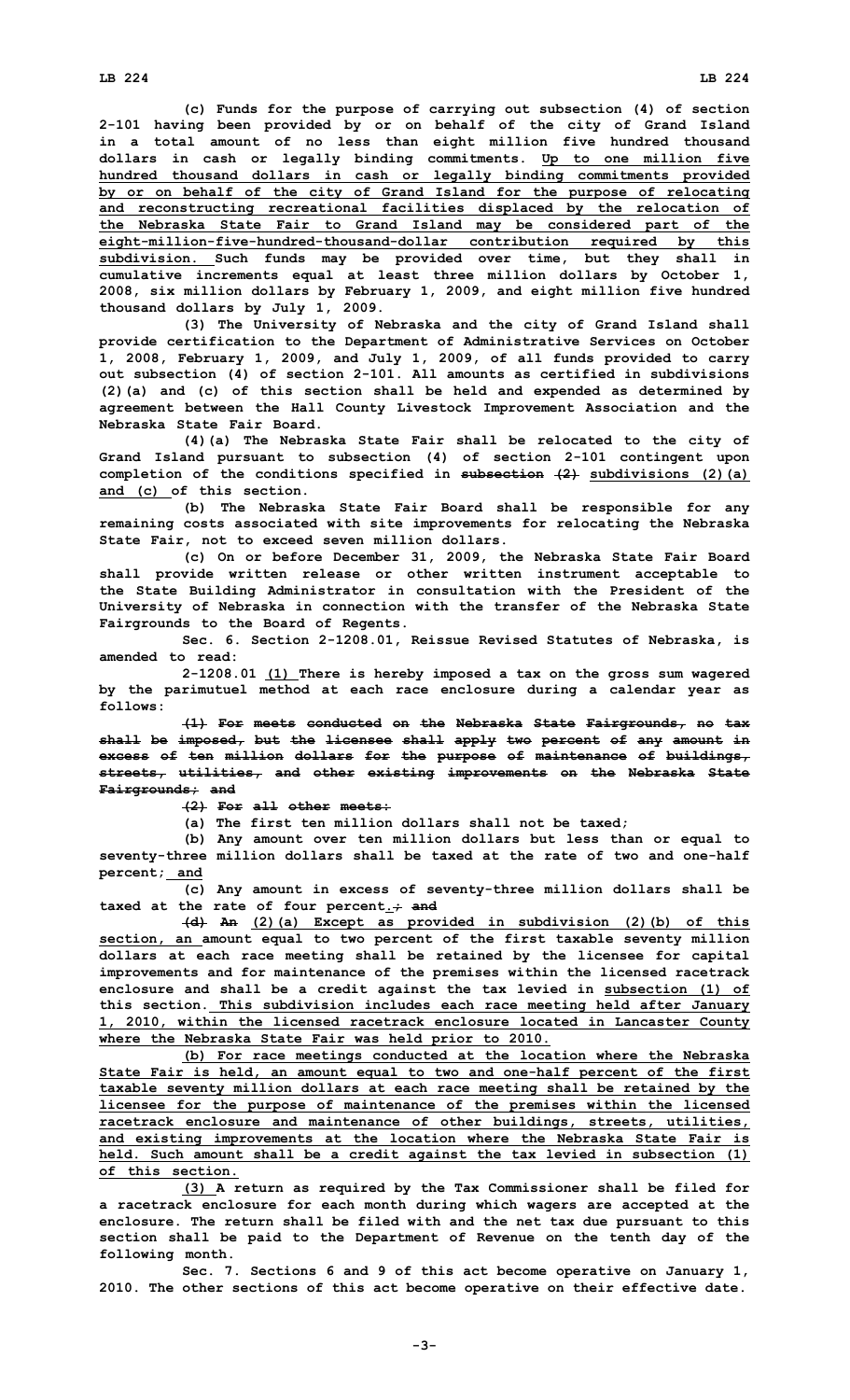**(c) Funds for the purpose of carrying out subsection (4) of section 2-101 having been provided by or on behalf of the city of Grand Island in <sup>a</sup> total amount of no less than eight million five hundred thousand dollars in cash or legally binding commitments. Up to one million five hundred thousand dollars in cash or legally binding commitments provided by or on behalf of the city of Grand Island for the purpose of relocating and reconstructing recreational facilities displaced by the relocation of the Nebraska State Fair to Grand Island may be considered part of the eight-million-five-hundred-thousand-dollar contribution required by this subdivision. Such funds may be provided over time, but they shall in cumulative increments equal at least three million dollars by October 1, 2008, six million dollars by February 1, 2009, and eight million five hundred thousand dollars by July 1, 2009.**

**(3) The University of Nebraska and the city of Grand Island shall provide certification to the Department of Administrative Services on October 1, 2008, February 1, 2009, and July 1, 2009, of all funds provided to carry out subsection (4) of section 2-101. All amounts as certified in subdivisions (2)(a) and (c) of this section shall be held and expended as determined by agreement between the Hall County Livestock Improvement Association and the Nebraska State Fair Board.**

**(4)(a) The Nebraska State Fair shall be relocated to the city of Grand Island pursuant to subsection (4) of section 2-101 contingent upon completion of the conditions specified in subsection (2) subdivisions (2)(a) and (c) of this section.**

**(b) The Nebraska State Fair Board shall be responsible for any remaining costs associated with site improvements for relocating the Nebraska State Fair, not to exceed seven million dollars.**

**(c) On or before December 31, 2009, the Nebraska State Fair Board shall provide written release or other written instrument acceptable to the State Building Administrator in consultation with the President of the University of Nebraska in connection with the transfer of the Nebraska State Fairgrounds to the Board of Regents.**

**Sec. 6. Section 2-1208.01, Reissue Revised Statutes of Nebraska, is amended to read:**

**2-1208.01 (1) There is hereby imposed <sup>a</sup> tax on the gross sum wagered by the parimutuel method at each race enclosure during <sup>a</sup> calendar year as follows:**

**(1) For meets conducted on the Nebraska State Fairgrounds, no tax shall be imposed, but the licensee shall apply two percent of any amount in excess of ten million dollars for the purpose of maintenance of buildings, streets, utilities, and other existing improvements on the Nebraska State Fairgrounds; and**

**(2) For all other meets:**

**(a) The first ten million dollars shall not be taxed;**

**(b) Any amount over ten million dollars but less than or equal to seventy-three million dollars shall be taxed at the rate of two and one-half percent; and**

**(c) Any amount in excess of seventy-three million dollars shall be taxed at the rate of four percent.; and**

**(d) An (2)(a) Except as provided in subdivision (2)(b) of this section, an amount equal to two percent of the first taxable seventy million dollars at each race meeting shall be retained by the licensee for capital improvements and for maintenance of the premises within the licensed racetrack enclosure and shall be <sup>a</sup> credit against the tax levied in subsection (1) of this section. This subdivision includes each race meeting held after January 1, 2010, within the licensed racetrack enclosure located in Lancaster County where the Nebraska State Fair was held prior to 2010.**

**(b) For race meetings conducted at the location where the Nebraska State Fair is held, an amount equal to two and one-half percent of the first taxable seventy million dollars at each race meeting shall be retained by the licensee for the purpose of maintenance of the premises within the licensed racetrack enclosure and maintenance of other buildings, streets, utilities, and existing improvements at the location where the Nebraska State Fair is held. Such amount shall be <sup>a</sup> credit against the tax levied in subsection (1) of this section.**

**(3) <sup>A</sup> return as required by the Tax Commissioner shall be filed for <sup>a</sup> racetrack enclosure for each month during which wagers are accepted at the enclosure. The return shall be filed with and the net tax due pursuant to this section shall be paid to the Department of Revenue on the tenth day of the following month.**

**Sec. 7. Sections 6 and 9 of this act become operative on January 1, 2010. The other sections of this act become operative on their effective date.**